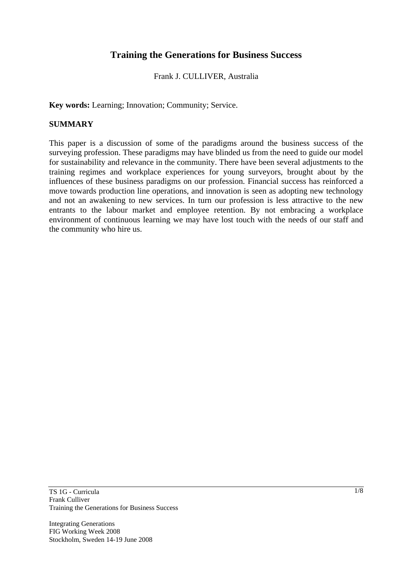# **Training the Generations for Business Success**

#### Frank J. CULLIVER, Australia

**Key words:** Learning; Innovation; Community; Service.

### **SUMMARY**

This paper is a discussion of some of the paradigms around the business success of the surveying profession. These paradigms may have blinded us from the need to guide our model for sustainability and relevance in the community. There have been several adjustments to the training regimes and workplace experiences for young surveyors, brought about by the influences of these business paradigms on our profession. Financial success has reinforced a move towards production line operations, and innovation is seen as adopting new technology and not an awakening to new services. In turn our profession is less attractive to the new entrants to the labour market and employee retention. By not embracing a workplace environment of continuous learning we may have lost touch with the needs of our staff and the community who hire us.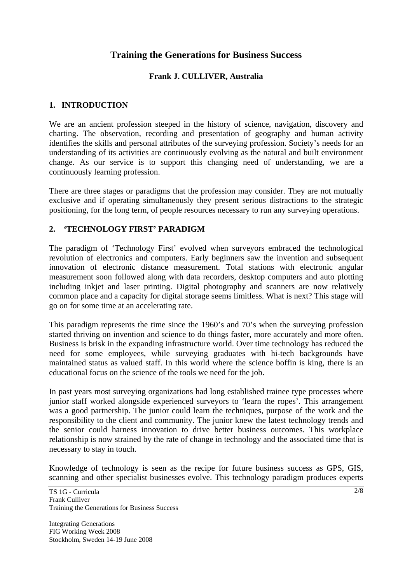# **Training the Generations for Business Success**

## **Frank J. CULLIVER, Australia**

## **1. INTRODUCTION**

We are an ancient profession steeped in the history of science, navigation, discovery and charting. The observation, recording and presentation of geography and human activity identifies the skills and personal attributes of the surveying profession. Society's needs for an understanding of its activities are continuously evolving as the natural and built environment change. As our service is to support this changing need of understanding, we are a continuously learning profession.

There are three stages or paradigms that the profession may consider. They are not mutually exclusive and if operating simultaneously they present serious distractions to the strategic positioning, for the long term, of people resources necessary to run any surveying operations.

## **2. 'TECHNOLOGY FIRST' PARADIGM**

The paradigm of 'Technology First' evolved when surveyors embraced the technological revolution of electronics and computers. Early beginners saw the invention and subsequent innovation of electronic distance measurement. Total stations with electronic angular measurement soon followed along with data recorders, desktop computers and auto plotting including inkjet and laser printing. Digital photography and scanners are now relatively common place and a capacity for digital storage seems limitless. What is next? This stage will go on for some time at an accelerating rate.

This paradigm represents the time since the 1960's and 70's when the surveying profession started thriving on invention and science to do things faster, more accurately and more often. Business is brisk in the expanding infrastructure world. Over time technology has reduced the need for some employees, while surveying graduates with hi-tech backgrounds have maintained status as valued staff. In this world where the science boffin is king, there is an educational focus on the science of the tools we need for the job.

In past years most surveying organizations had long established trainee type processes where junior staff worked alongside experienced surveyors to 'learn the ropes'. This arrangement was a good partnership. The junior could learn the techniques, purpose of the work and the responsibility to the client and community. The junior knew the latest technology trends and the senior could harness innovation to drive better business outcomes. This workplace relationship is now strained by the rate of change in technology and the associated time that is necessary to stay in touch.

Knowledge of technology is seen as the recipe for future business success as GPS, GIS, scanning and other specialist businesses evolve. This technology paradigm produces experts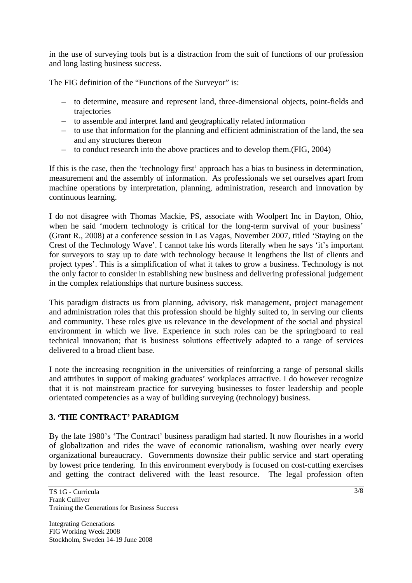in the use of surveying tools but is a distraction from the suit of functions of our profession and long lasting business success.

The FIG definition of the "Functions of the Surveyor" is:

- to determine, measure and represent land, three-dimensional objects, point-fields and trajectories
- to assemble and interpret land and geographically related information
- to use that information for the planning and efficient administration of the land, the sea and any structures thereon
- to conduct research into the above practices and to develop them.(FIG, 2004)

If this is the case, then the 'technology first' approach has a bias to business in determination, measurement and the assembly of information. As professionals we set ourselves apart from machine operations by interpretation, planning, administration, research and innovation by continuous learning.

I do not disagree with Thomas Mackie, PS, associate with Woolpert Inc in Dayton, Ohio, when he said 'modern technology is critical for the long-term survival of your business' (Grant R., 2008) at a conference session in Las Vagas, November 2007, titled 'Staying on the Crest of the Technology Wave'. I cannot take his words literally when he says 'it's important for surveyors to stay up to date with technology because it lengthens the list of clients and project types'. This is a simplification of what it takes to grow a business. Technology is not the only factor to consider in establishing new business and delivering professional judgement in the complex relationships that nurture business success.

This paradigm distracts us from planning, advisory, risk management, project management and administration roles that this profession should be highly suited to, in serving our clients and community. These roles give us relevance in the development of the social and physical environment in which we live. Experience in such roles can be the springboard to real technical innovation; that is business solutions effectively adapted to a range of services delivered to a broad client base.

I note the increasing recognition in the universities of reinforcing a range of personal skills and attributes in support of making graduates' workplaces attractive. I do however recognize that it is not mainstream practice for surveying businesses to foster leadership and people orientated competencies as a way of building surveying (technology) business.

# **3. 'THE CONTRACT' PARADIGM**

By the late 1980's 'The Contract' business paradigm had started. It now flourishes in a world of globalization and rides the wave of economic rationalism, washing over nearly every organizational bureaucracy. Governments downsize their public service and start operating by lowest price tendering. In this environment everybody is focused on cost-cutting exercises and getting the contract delivered with the least resource. The legal profession often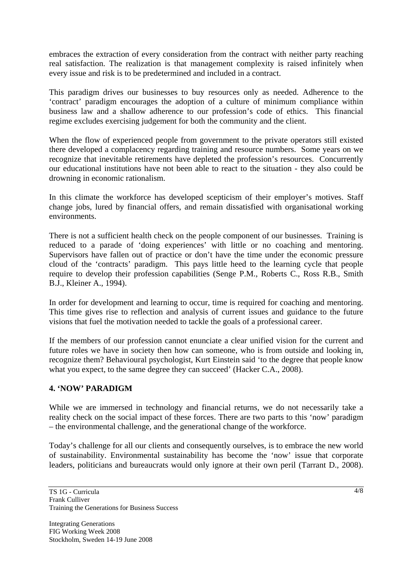embraces the extraction of every consideration from the contract with neither party reaching real satisfaction. The realization is that management complexity is raised infinitely when every issue and risk is to be predetermined and included in a contract.

This paradigm drives our businesses to buy resources only as needed. Adherence to the 'contract' paradigm encourages the adoption of a culture of minimum compliance within business law and a shallow adherence to our profession's code of ethics. This financial regime excludes exercising judgement for both the community and the client.

When the flow of experienced people from government to the private operators still existed there developed a complacency regarding training and resource numbers. Some years on we recognize that inevitable retirements have depleted the profession's resources. Concurrently our educational institutions have not been able to react to the situation - they also could be drowning in economic rationalism.

In this climate the workforce has developed scepticism of their employer's motives. Staff change jobs, lured by financial offers, and remain dissatisfied with organisational working environments.

There is not a sufficient health check on the people component of our businesses. Training is reduced to a parade of 'doing experiences' with little or no coaching and mentoring. Supervisors have fallen out of practice or don't have the time under the economic pressure cloud of the 'contracts' paradigm. This pays little heed to the learning cycle that people require to develop their profession capabilities (Senge P.M., Roberts C., Ross R.B., Smith B.J., Kleiner A., 1994).

In order for development and learning to occur, time is required for coaching and mentoring. This time gives rise to reflection and analysis of current issues and guidance to the future visions that fuel the motivation needed to tackle the goals of a professional career.

If the members of our profession cannot enunciate a clear unified vision for the current and future roles we have in society then how can someone, who is from outside and looking in, recognize them? Behavioural psychologist, Kurt Einstein said 'to the degree that people know what you expect, to the same degree they can succeed' (Hacker C.A., 2008).

## **4. 'NOW' PARADIGM**

While we are immersed in technology and financial returns, we do not necessarily take a reality check on the social impact of these forces. There are two parts to this 'now' paradigm – the environmental challenge, and the generational change of the workforce.

Today's challenge for all our clients and consequently ourselves, is to embrace the new world of sustainability. Environmental sustainability has become the 'now' issue that corporate leaders, politicians and bureaucrats would only ignore at their own peril (Tarrant D., 2008).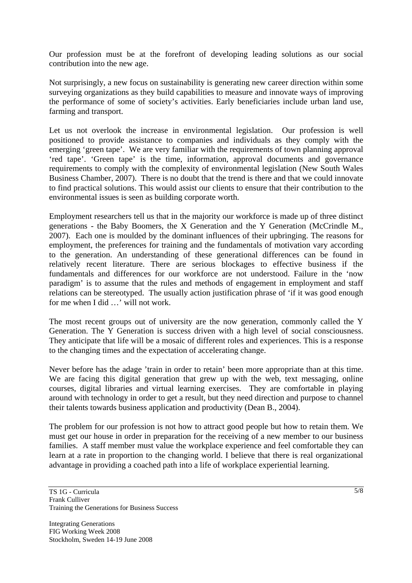Our profession must be at the forefront of developing leading solutions as our social contribution into the new age.

Not surprisingly, a new focus on sustainability is generating new career direction within some surveying organizations as they build capabilities to measure and innovate ways of improving the performance of some of society's activities. Early beneficiaries include urban land use, farming and transport.

Let us not overlook the increase in environmental legislation. Our profession is well positioned to provide assistance to companies and individuals as they comply with the emerging 'green tape'. We are very familiar with the requirements of town planning approval 'red tape'. 'Green tape' is the time, information, approval documents and governance requirements to comply with the complexity of environmental legislation (New South Wales Business Chamber, 2007). There is no doubt that the trend is there and that we could innovate to find practical solutions. This would assist our clients to ensure that their contribution to the environmental issues is seen as building corporate worth.

Employment researchers tell us that in the majority our workforce is made up of three distinct generations - the Baby Boomers, the X Generation and the Y Generation (McCrindle M., 2007). Each one is moulded by the dominant influences of their upbringing. The reasons for employment, the preferences for training and the fundamentals of motivation vary according to the generation. An understanding of these generational differences can be found in relatively recent literature. There are serious blockages to effective business if the fundamentals and differences for our workforce are not understood. Failure in the 'now paradigm' is to assume that the rules and methods of engagement in employment and staff relations can be stereotyped. The usually action justification phrase of 'if it was good enough for me when I did …' will not work.

The most recent groups out of university are the now generation, commonly called the Y Generation. The Y Generation is success driven with a high level of social consciousness. They anticipate that life will be a mosaic of different roles and experiences. This is a response to the changing times and the expectation of accelerating change.

Never before has the adage 'train in order to retain' been more appropriate than at this time. We are facing this digital generation that grew up with the web, text messaging, online courses, digital libraries and virtual learning exercises. They are comfortable in playing around with technology in order to get a result, but they need direction and purpose to channel their talents towards business application and productivity (Dean B., 2004).

The problem for our profession is not how to attract good people but how to retain them. We must get our house in order in preparation for the receiving of a new member to our business families. A staff member must value the workplace experience and feel comfortable they can learn at a rate in proportion to the changing world. I believe that there is real organizational advantage in providing a coached path into a life of workplace experiential learning.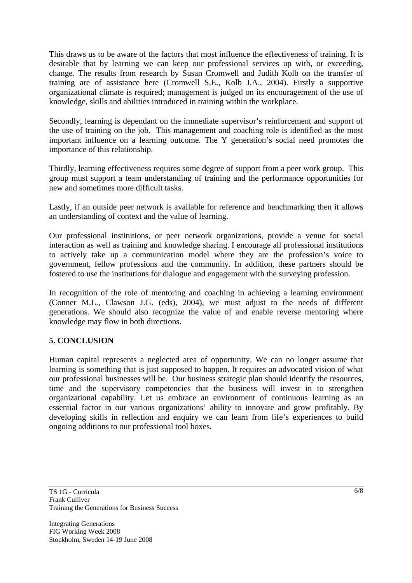This draws us to be aware of the factors that most influence the effectiveness of training. It is desirable that by learning we can keep our professional services up with, or exceeding, change. The results from research by Susan Cromwell and Judith Kolb on the transfer of training are of assistance here (Cromwell S.E., Kolb J.A., 2004). Firstly a supportive organizational climate is required; management is judged on its encouragement of the use of knowledge, skills and abilities introduced in training within the workplace.

Secondly, learning is dependant on the immediate supervisor's reinforcement and support of the use of training on the job. This management and coaching role is identified as the most important influence on a learning outcome. The Y generation's social need promotes the importance of this relationship.

Thirdly, learning effectiveness requires some degree of support from a peer work group. This group must support a team understanding of training and the performance opportunities for new and sometimes more difficult tasks.

Lastly, if an outside peer network is available for reference and benchmarking then it allows an understanding of context and the value of learning.

Our professional institutions, or peer network organizations, provide a venue for social interaction as well as training and knowledge sharing. I encourage all professional institutions to actively take up a communication model where they are the profession's voice to government, fellow professions and the community. In addition, these partners should be fostered to use the institutions for dialogue and engagement with the surveying profession.

In recognition of the role of mentoring and coaching in achieving a learning environment (Conner M.L., Clawson J.G. (eds), 2004), we must adjust to the needs of different generations. We should also recognize the value of and enable reverse mentoring where knowledge may flow in both directions.

# **5. CONCLUSION**

Human capital represents a neglected area of opportunity. We can no longer assume that learning is something that is just supposed to happen. It requires an advocated vision of what our professional businesses will be. Our business strategic plan should identify the resources, time and the supervisory competencies that the business will invest in to strengthen organizational capability. Let us embrace an environment of continuous learning as an essential factor in our various organizations' ability to innovate and grow profitably. By developing skills in reflection and enquiry we can learn from life's experiences to build ongoing additions to our professional tool boxes.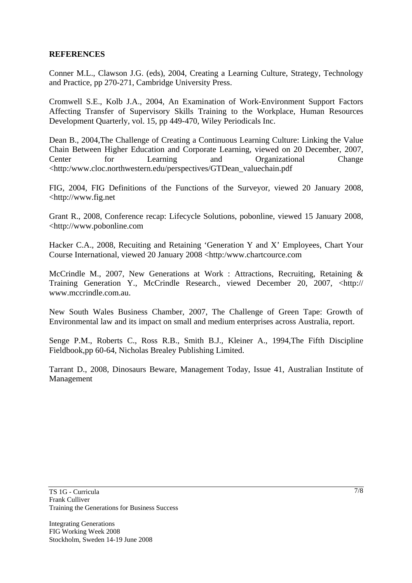## **REFERENCES**

Conner M.L., Clawson J.G. (eds), 2004, Creating a Learning Culture, Strategy, Technology and Practice, pp 270-271, Cambridge University Press.

Cromwell S.E., Kolb J.A., 2004, An Examination of Work-Environment Support Factors Affecting Transfer of Supervisory Skills Training to the Workplace, Human Resources Development Quarterly, vol. 15, pp 449-470, Wiley Periodicals Inc.

Dean B., 2004,The Challenge of Creating a Continuous Learning Culture: Linking the Value Chain Between Higher Education and Corporate Learning, viewed on 20 December, 2007, Center for Learning and Organizational Change <http:/www.cloc.northwestern.edu/perspectives/GTDean\_valuechain.pdf

FIG, 2004, FIG Definitions of the Functions of the Surveyor, viewed 20 January 2008, <http://www.fig.net

Grant R., 2008, Conference recap: Lifecycle Solutions, pobonline, viewed 15 January 2008, <http://www.pobonline.com

Hacker C.A., 2008, Recuiting and Retaining 'Generation Y and X' Employees, Chart Your Course International, viewed 20 January 2008 <http:/www.chartcource.com

McCrindle M., 2007, New Generations at Work : Attractions, Recruiting, Retaining & Training Generation Y., McCrindle Research., viewed December 20, 2007, <http:// www.mccrindle.com.au.

New South Wales Business Chamber, 2007, The Challenge of Green Tape: Growth of Environmental law and its impact on small and medium enterprises across Australia, report.

Senge P.M., Roberts C., Ross R.B., Smith B.J., Kleiner A., 1994,The Fifth Discipline Fieldbook,pp 60-64, Nicholas Brealey Publishing Limited.

Tarrant D., 2008, Dinosaurs Beware, Management Today, Issue 41, Australian Institute of Management